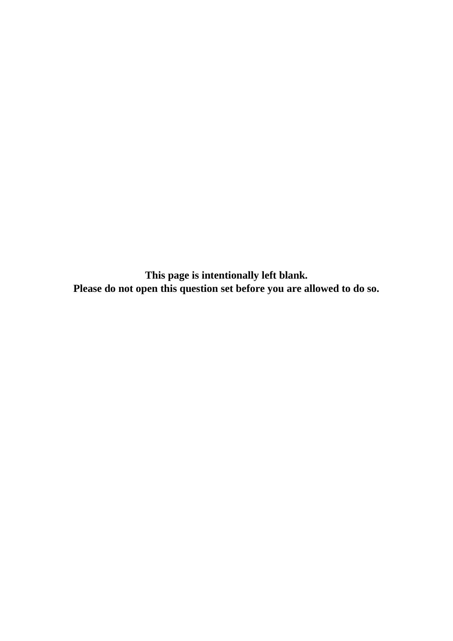**This page is intentionally left blank. Please do not open this question set before you are allowed to do so.**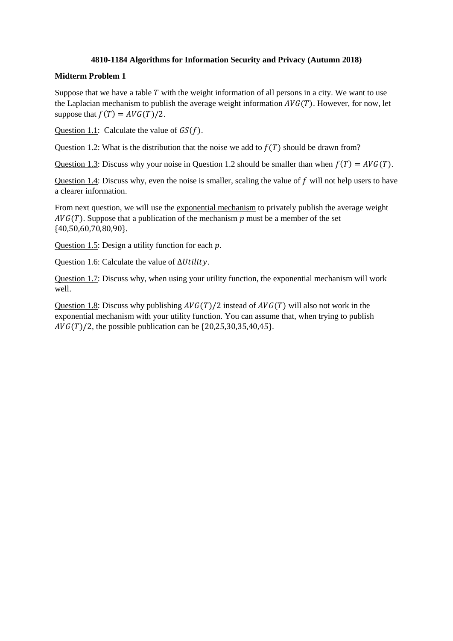## **4810-1184 Algorithms for Information Security and Privacy (Autumn 2018)**

## **Midterm Problem 1**

Suppose that we have a table  $T$  with the weight information of all persons in a city. We want to use the Laplacian mechanism to publish the average weight information  $AVG(T)$ . However, for now, let suppose that  $f(T) = AVG(T)/2$ .

Question 1.1: Calculate the value of  $GS(f)$ .

Question 1.2: What is the distribution that the noise we add to  $f(T)$  should be drawn from?

Question 1.3: Discuss why your noise in Question 1.2 should be smaller than when  $f(T) = AVG(T)$ .

Question 1.4: Discuss why, even the noise is smaller, scaling the value of  $f$  will not help users to have a clearer information.

From next question, we will use the exponential mechanism to privately publish the average weight  $AVG(T)$ . Suppose that a publication of the mechanism  $p$  must be a member of the set {40,50,60,70,80,90}.

Question 1.5: Design a utility function for each  $p$ .

Question 1.6: Calculate the value of  $\Delta Utility$ .

Question 1.7: Discuss why, when using your utility function, the exponential mechanism will work well.

Question 1.8: Discuss why publishing  $AVG(T)/2$  instead of  $AVG(T)$  will also not work in the exponential mechanism with your utility function. You can assume that, when trying to publish  $AVG(T)/2$ , the possible publication can be  $\{20,25,30,35,40,45\}.$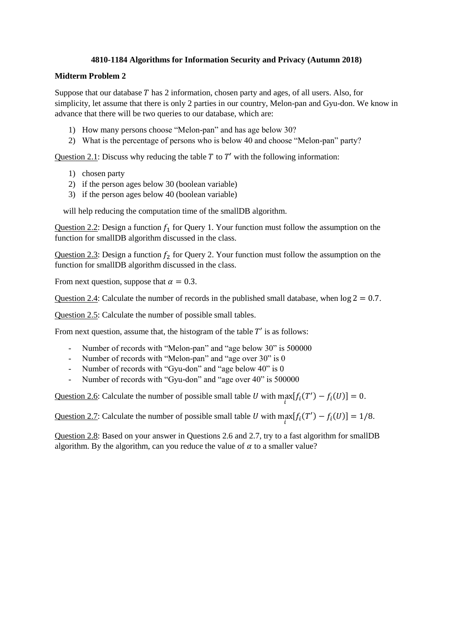# **4810-1184 Algorithms for Information Security and Privacy (Autumn 2018)**

## **Midterm Problem 2**

Suppose that our database  $T$  has 2 information, chosen party and ages, of all users. Also, for simplicity, let assume that there is only 2 parties in our country, Melon-pan and Gyu-don. We know in advance that there will be two queries to our database, which are:

- 1) How many persons choose "Melon-pan" and has age below 30?
- 2) What is the percentage of persons who is below 40 and choose "Melon-pan" party?

Question 2.1: Discuss why reducing the table  $T$  to  $T'$  with the following information:

- 1) chosen party
- 2) if the person ages below 30 (boolean variable)
- 3) if the person ages below 40 (boolean variable)

will help reducing the computation time of the smallDB algorithm.

Question 2.2: Design a function  $f_1$  for Query 1. Your function must follow the assumption on the function for smallDB algorithm discussed in the class.

Question 2.3: Design a function  $f_2$  for Query 2. Your function must follow the assumption on the function for smallDB algorithm discussed in the class.

From next question, suppose that  $\alpha = 0.3$ .

Question 2.4: Calculate the number of records in the published small database, when  $log 2 = 0.7$ .

Question 2.5: Calculate the number of possible small tables.

From next question, assume that, the histogram of the table  $T'$  is as follows:

- Number of records with "Melon-pan" and "age below 30" is 500000
- Number of records with "Melon-pan" and "age over 30" is 0
- Number of records with "Gyu-don" and "age below 40" is 0
- Number of records with "Gyu-don" and "age over 40" is 500000

Question 2.6: Calculate the number of possible small table U with  $\max_i [f_i(T') - f_i(U)] = 0$ .

Question 2.7: Calculate the number of possible small table U with  $\max_i [f_i(T') - f_i(U)] = 1/8$ .

Question 2.8: Based on your answer in Questions 2.6 and 2.7, try to a fast algorithm for smallDB algorithm. By the algorithm, can you reduce the value of  $\alpha$  to a smaller value?